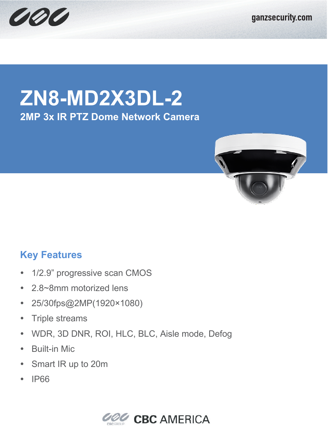



## **ZN8-MD2X3DL-2 2MP 3x IR PTZ Dome Network Camera**



## **Key Features**

- 1/2.9" progressive scan CMOS
- 2.8~8mm motorized lens
- 25/30fps@2MP(1920×1080)
- Triple streams
- WDR, 3D DNR, ROI, HLC, BLC, Aisle mode, Defog
- Built-in Mic
- Smart IR up to 20m
- $\cdot$  IP66

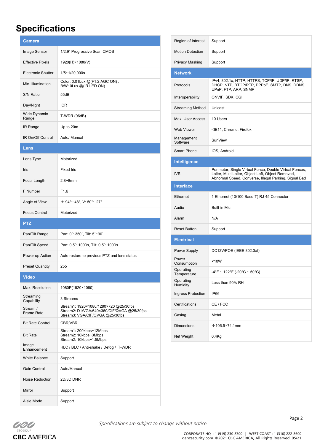## **Specifications**

| <b>Camera</b>                 |                                                                                                                        |
|-------------------------------|------------------------------------------------------------------------------------------------------------------------|
| Image Sensor                  | 1/2.9" Progressive Scan CMOS                                                                                           |
| <b>Effective Pixels</b>       | 1920(H)×1080(V)                                                                                                        |
| Electronic Shutter            | 1/5~1/20,000s                                                                                                          |
| Min. illumination             | Color: 0.01Lux @(F1.2,AGC ON),<br>B/W: 0Lux @(IR LED ON)                                                               |
| S/N Ratio                     | 55dB                                                                                                                   |
| Day/Night                     | <b>ICR</b>                                                                                                             |
| Wide Dynamic<br>Range         | T-WDR (96dB)                                                                                                           |
| IR Range                      | Up to 20m                                                                                                              |
| IR On/Off Control             | Auto/ Manual                                                                                                           |
| Lens                          |                                                                                                                        |
| Lens Type                     | Motorized                                                                                                              |
| Iris                          | <b>Fixed Iris</b>                                                                                                      |
| Focal Length                  | $2.8 - 8$ mm                                                                                                           |
| F Number                      | F1.6                                                                                                                   |
| Angle of View                 | H: $94^{\circ}$ ~ 48°, V: $50^{\circ}$ ~ 27°                                                                           |
| <b>Focus Control</b>          | Motorized                                                                                                              |
| <b>PTZ</b>                    |                                                                                                                        |
| Pan/Tilt Range                | Pan: 0°~350°, Tilt: 5°~90°                                                                                             |
| Pan/Tilt Speed                | Pan: 0.5°~100°/s, Tilt: 0.5°~100°/s                                                                                    |
| Power up Action               | Auto restore to previous PTZ and lens status                                                                           |
| <b>Preset Quantity</b>        | 255                                                                                                                    |
| Video                         |                                                                                                                        |
| Max. Resolution               | 1080P(1920×1080)                                                                                                       |
| Streaming<br>Capability       | 3 Streams                                                                                                              |
| Stream /<br><b>Frame Rate</b> | Stream1: 1920×1080/1280×720 @25/30fps<br>Stream2: D1/VGA/640×360/CIF/QVGA @25/30fps<br>Stream3: VGA/CIF/QVGA @25/30fps |
| <b>Bit Rate Control</b>       | CBR/VBR                                                                                                                |
| <b>Bit Rate</b>               | Stream1: 200kbps~12Mbps<br>Stream2: 10kbps~3Mbps<br>Stream2: 10kbps~1.5Mbps                                            |
| Image<br>Enhancement          | HLC / BLC / Anti-shake / Defog / T-WDR                                                                                 |
| <b>White Balance</b>          | Support                                                                                                                |
| Gain Control                  | Auto/Manual                                                                                                            |
| Noise Reduction               | 2D/3D DNR                                                                                                              |
| Mirror                        | Support                                                                                                                |
|                               |                                                                                                                        |

| Region of Interest       | Support                                                                                                                                                                |
|--------------------------|------------------------------------------------------------------------------------------------------------------------------------------------------------------------|
| <b>Motion Detection</b>  | Support                                                                                                                                                                |
| <b>Privacy Masking</b>   | Support                                                                                                                                                                |
| <b>Network</b>           |                                                                                                                                                                        |
| Protocols                | IPv4, 802.1x, HTTP, HTTPS, TCP/IP, UDP/IP, RTSP,<br>DHCP, NTP, RTCP/RTP, PPPoE, SMTP, DNS, DDNS,<br>UPnP, FTP, ARP, SNMP                                               |
| Interoperability         | ONVIF, SDK, CGI                                                                                                                                                        |
| <b>Streaming Method</b>  | Unicast                                                                                                                                                                |
| Max. User Access         | 10 Users                                                                                                                                                               |
| Web Viewer               | <ie11, chrome,="" firefox<="" td=""></ie11,>                                                                                                                           |
| Management<br>Software   | SunView                                                                                                                                                                |
| <b>Smart Phone</b>       | IOS, Android                                                                                                                                                           |
| Intelligence             |                                                                                                                                                                        |
| <b>IVS</b>               | Perimeter, Single Virtual Fence, Double Virtual Fences,<br>Loiter, Multi Loiter, Object Left, Object Removed,<br>Abnormal Speed, Converse, Illegal Parking, Signal Bad |
| <b>Interface</b>         |                                                                                                                                                                        |
| Ethernet                 | 1 Ethernet (10/100 Base-T) RJ-45 Connector                                                                                                                             |
|                          |                                                                                                                                                                        |
| Audio                    | <b>Built-in Mic</b>                                                                                                                                                    |
| Alarm                    | N/A                                                                                                                                                                    |
| <b>Reset Button</b>      | Support                                                                                                                                                                |
| <b>Electrical</b>        |                                                                                                                                                                        |
| Power Supply             | DC12V/POE (IEEE 802.3af)                                                                                                                                               |
| Power<br>Consumption     | <10W                                                                                                                                                                   |
| Operating<br>Temperature | $-4^{\circ}$ F ~ 122 $^{\circ}$ F (-20 $^{\circ}$ C ~ 50 $^{\circ}$ C)                                                                                                 |
| Operating<br>Humidity    | Less than 90% RH                                                                                                                                                       |
| Ingress Protection       | IP66                                                                                                                                                                   |
| Certifications           | CE / FCC                                                                                                                                                               |
| Casing                   | Metal                                                                                                                                                                  |
| <b>Dimensions</b>        | $\Phi$ 106.5×74.1mm                                                                                                                                                    |



Specifications are subject to change without notice.